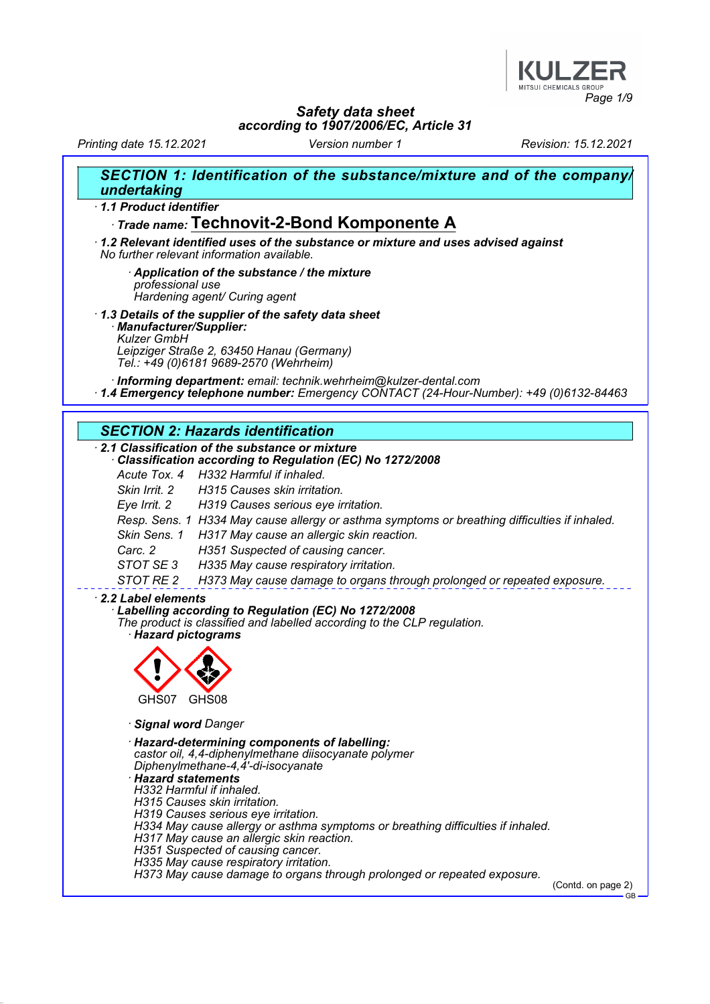

Printing date 15.12.2021 Version number 1 Revision: 15.12.2021

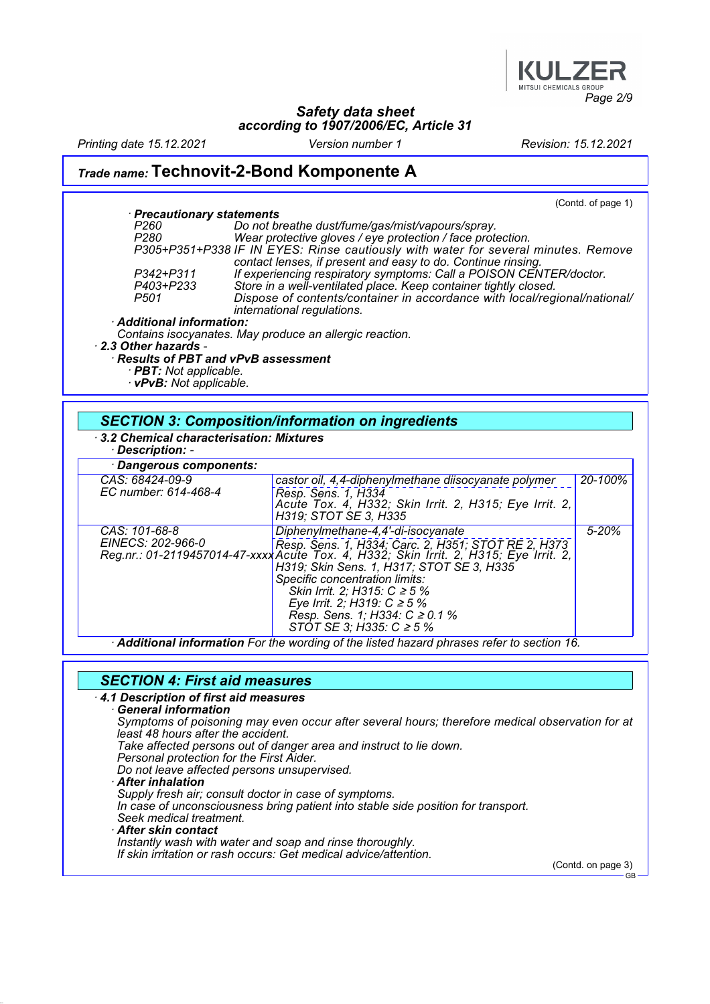

Printing date 15.12.2021 Version number 1 Revision: 15.12.2021

### Trade name: Technovit-2-Bond Komponente A

(Contd. of page 1) **Precautionary statements**<br>P260 Do not b. P260 Do not breathe dust/fume/gas/mist/vapours/spray.<br>P280 Wear protective gloves / eve protection / face prote Wear protective gloves / eye protection / face protection. P305+P351+P338 IF IN EYES: Rinse cautiously with water for several minutes. Remove contact lenses, if present and easy to do. Continue rinsing. P342+P311 If experiencing respiratory symptoms: Call a POISON CENTER/doctor. P403+P233 Store in a well-ventilated place. Keep container tightly closed.<br>P501 Dispose of contents/container in accordance with local/reg Dispose of contents/container in accordance with local/regional/national/ international regulations. · Additional information: Contains isocyanates. May produce an allergic reaction. · 2.3 Other hazards - · Results of PBT and vPvB assessment

 $\cdot$  PBT: Not applicable. · vPvB: Not applicable.

### SECTION 3: Composition/information on ingredients

· 3.2 Chemical characterisation: Mixtures Description: -

| · Dangerous components:                 |                                                                                                                                                                                                                                                                                                                                                                                                        |           |
|-----------------------------------------|--------------------------------------------------------------------------------------------------------------------------------------------------------------------------------------------------------------------------------------------------------------------------------------------------------------------------------------------------------------------------------------------------------|-----------|
|                                         |                                                                                                                                                                                                                                                                                                                                                                                                        |           |
| CAS: 68424-09-9<br>EC number: 614-468-4 | castor oil, 4,4-diphenylmethane diisocyanate polymer<br>Resp. Sens. 1, H334<br>Acute Tox. 4, H332; Skin Irrit. 2, H315; Eye Irrit. 2,<br>H319; STOT SE 3, H335                                                                                                                                                                                                                                         | 20-100%   |
| CAS: 101-68-8<br>EINECS: 202-966-0      | Diphenylmethane-4,4'-di-isocyanate<br>Resp. Sens. 1, H334; Carc. 2, H351; STOT RE 2, H373<br>Reg.nr.: 01-2119457014-47-xxxx Acute Tox. 4, H332; Skin Irrit. 2, H315; Eye Irrit. 2,<br>H319; Skin Sens. 1, H317; STOT SE 3, H335<br>Specific concentration limits:<br>Skin Irrit. 2; H315: C ≥ 5 %<br>Eye Irrit. 2; H319: $C \ge 5\%$<br>Resp. Sens. 1; H334: C ≥ 0.1 %<br>STOT SE 3; H335: $C \ge 5\%$ | $5 - 20%$ |

· Additional information For the wording of the listed hazard phrases refer to section 16.

### SECTION 4: First aid measures

#### · 4.1 Description of first aid measures

General information

Symptoms of poisoning may even occur after several hours; therefore medical observation for at least 48 hours after the accident.

Take affected persons out of danger area and instruct to lie down.

- Personal protection for the First Aider.
- Do not leave affected persons unsupervised.
- **After inhalation**

Supply fresh air; consult doctor in case of symptoms.

In case of unconsciousness bring patient into stable side position for transport.

- Seek medical treatment.
- After skin contact

Instantly wash with water and soap and rinse thoroughly.

If skin irritation or rash occurs: Get medical advice/attention.

(Contd. on page 3)

GB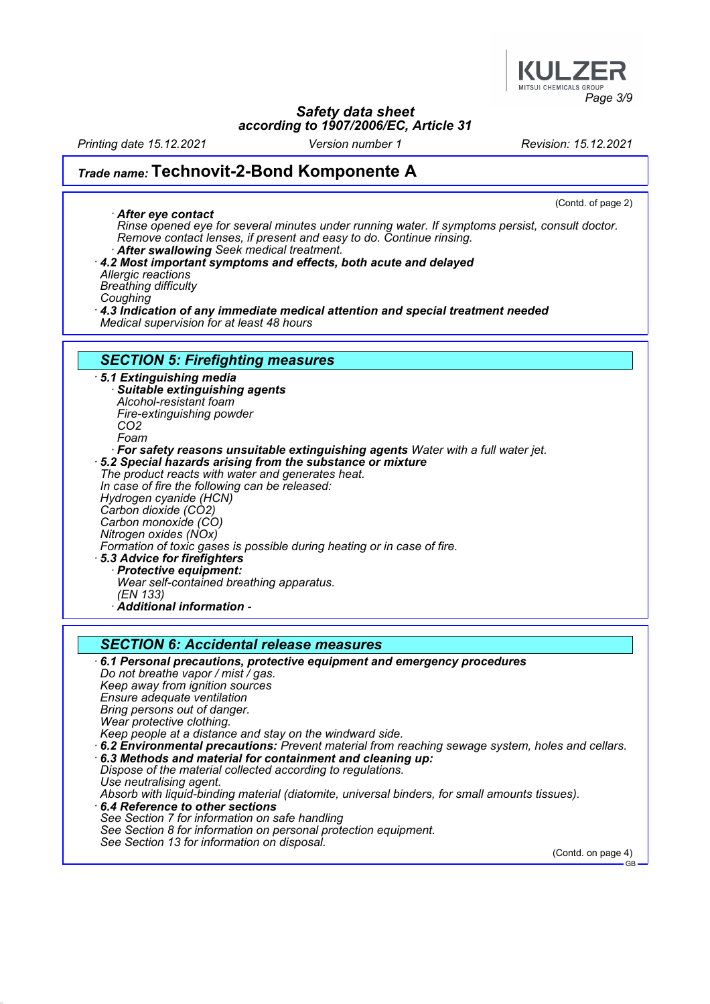

Printing date 15.12.2021 Version number 1 Revision: 15.12.2021

(Contd. of page 2)

### Trade name: Technovit-2-Bond Komponente A

After eye contact Rinse opened eye for several minutes under running water. If symptoms persist, consult doctor. Remove contact lenses, if present and easy to do. Continue rinsing. After swallowing Seek medical treatment. · 4.2 Most important symptoms and effects, both acute and delayed Allergic reactions Breathing difficulty **Coughing** · 4.3 Indication of any immediate medical attention and special treatment needed Medical supervision for at least 48 hours SECTION 5: Firefighting measures · 5.1 Extinguishing media Suitable extinguishing agents Alcohol-resistant foam Fire-extinguishing powder CO2 Foam · For safety reasons unsuitable extinguishing agents Water with a full water jet. · 5.2 Special hazards arising from the substance or mixture The product reacts with water and generates heat. In case of fire the following can be released: Hydrogen cyanide (HCN)  $C$ arbon dioxide ( $C$  $O$ 2) Carbon monoxide (CO) Nitrogen oxides (NOx) Formation of toxic gases is possible during heating or in case of fire. · 5.3 Advice for firefighters · Protective equipment: Wear self-contained breathing apparatus. (EN 133) · Additional information - SECTION 6: Accidental release measures

· 6.1 Personal precautions, protective equipment and emergency procedures Do not breathe vapor / mist / gas. Keep away from ignition sources Ensure adequate ventilation Bring persons out of danger. Wear protective clothing. Keep people at a distance and stay on the windward side. · 6.2 Environmental precautions: Prevent material from reaching sewage system, holes and cellars. · 6.3 Methods and material for containment and cleaning up: Dispose of the material collected according to regulations. Use neutralising agent. Absorb with liquid-binding material (diatomite, universal binders, for small amounts tissues). · 6.4 Reference to other sections See Section 7 for information on safe handling See Section 8 for information on personal protection equipment. See Section 13 for information on disposal.

(Contd. on page 4)

GB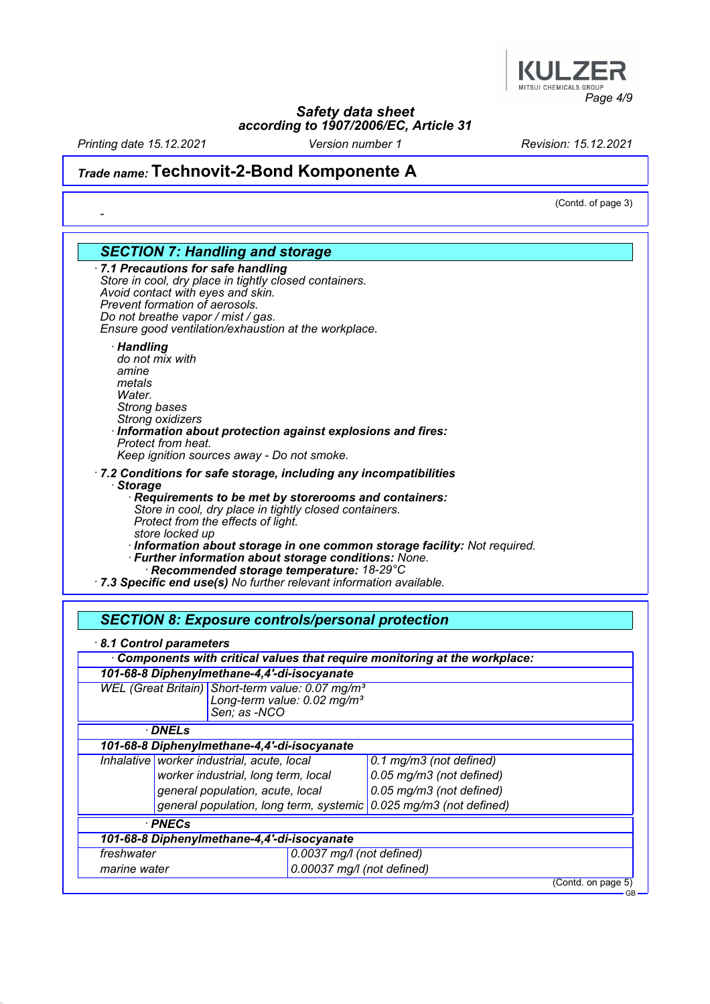

Printing date 15.12.2021 Version number 1 Revision: 15.12.2021

# Trade name: Technovit-2-Bond Komponente A

|                                                                                                                      |                                                                                                                                                                                                                                                                    |                                                                   | (Contd. of page 3) |  |
|----------------------------------------------------------------------------------------------------------------------|--------------------------------------------------------------------------------------------------------------------------------------------------------------------------------------------------------------------------------------------------------------------|-------------------------------------------------------------------|--------------------|--|
|                                                                                                                      |                                                                                                                                                                                                                                                                    |                                                                   |                    |  |
| <b>SECTION 7: Handling and storage</b>                                                                               |                                                                                                                                                                                                                                                                    |                                                                   |                    |  |
|                                                                                                                      | · 7.1 Precautions for safe handling<br>Store in cool, dry place in tightly closed containers.<br>Avoid contact with eyes and skin.<br>Prevent formation of aerosols.<br>Do not breathe vapor / mist / gas.<br>Ensure good ventilation/exhaustion at the workplace. |                                                                   |                    |  |
| · Handling<br>do not mix with<br>amine<br>metals<br>Water.<br>Strong bases<br>Strong oxidizers<br>Protect from heat. | Information about protection against explosions and fires:                                                                                                                                                                                                         |                                                                   |                    |  |
| · Storage                                                                                                            | Keep ignition sources away - Do not smoke.<br>.7.2 Conditions for safe storage, including any incompatibilities<br>Requirements to be met by storerooms and containers:<br>Store in cool, dry place in tightly closed containers.                                  |                                                                   |                    |  |
| store locked up                                                                                                      | Protect from the effects of light.<br>· Information about storage in one common storage facility: Not required.<br>· Further information about storage conditions: None.<br>Recommended storage temperature: 18-29°C                                               |                                                                   |                    |  |
| .7.3 Specific end use(s) No further relevant information available.                                                  |                                                                                                                                                                                                                                                                    |                                                                   |                    |  |
|                                                                                                                      | <b>SECTION 8: Exposure controls/personal protection</b>                                                                                                                                                                                                            |                                                                   |                    |  |
| 8.1 Control parameters                                                                                               |                                                                                                                                                                                                                                                                    |                                                                   |                    |  |
|                                                                                                                      | Components with critical values that require monitoring at the workplace:                                                                                                                                                                                          |                                                                   |                    |  |
| 101-68-8 Diphenylmethane-4,4'-di-isocyanate                                                                          |                                                                                                                                                                                                                                                                    |                                                                   |                    |  |
|                                                                                                                      | WEL (Great Britain) Short-term value: 0.07 mg/m <sup>3</sup><br>Long-term value: $0.02$ mg/m <sup>3</sup><br>Sen; as -NCO                                                                                                                                          |                                                                   |                    |  |
| <b>DNELs</b>                                                                                                         |                                                                                                                                                                                                                                                                    |                                                                   |                    |  |
|                                                                                                                      | 101-68-8 Diphenylmethane-4,4'-di-isocyanate                                                                                                                                                                                                                        |                                                                   |                    |  |
| Inhalative worker industrial, acute, local                                                                           |                                                                                                                                                                                                                                                                    | 0.1 mg/m3 (not defined)                                           |                    |  |
|                                                                                                                      | worker industrial, long term, local                                                                                                                                                                                                                                | 0.05 mg/m3 (not defined)                                          |                    |  |
|                                                                                                                      | general population, acute, local                                                                                                                                                                                                                                   | 0.05 mg/m3 (not defined)                                          |                    |  |
|                                                                                                                      |                                                                                                                                                                                                                                                                    |                                                                   |                    |  |
|                                                                                                                      |                                                                                                                                                                                                                                                                    | general population, long term, systemic 0.025 mg/m3 (not defined) |                    |  |
|                                                                                                                      |                                                                                                                                                                                                                                                                    |                                                                   |                    |  |
| · PNECs                                                                                                              |                                                                                                                                                                                                                                                                    |                                                                   |                    |  |
|                                                                                                                      | 101-68-8 Diphenylmethane-4,4'-di-isocyanate                                                                                                                                                                                                                        |                                                                   |                    |  |
| freshwater<br>marine water                                                                                           | 0.0037 mg/l (not defined)<br>0.00037 mg/l (not defined)                                                                                                                                                                                                            |                                                                   |                    |  |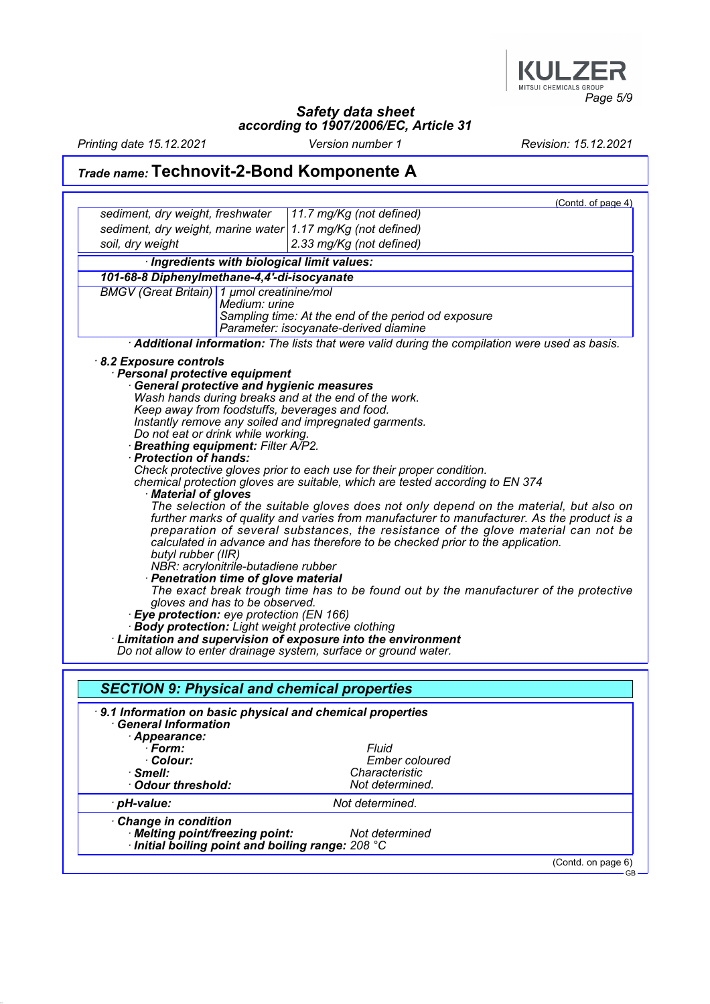

Printing date 15.12.2021 Version number 1 Revision: 15.12.2021

## Trade name: Technovit-2-Bond Komponente A

|                                                                                                                                                                                                                                                                                                       |                                                                       | (Contd. of page 4)                                                                                                                                                                                                                                                                                                                                                                                                                                                                                                                                                                                                                                                                                                                                                                                                                                                                                                                                                                                                              |
|-------------------------------------------------------------------------------------------------------------------------------------------------------------------------------------------------------------------------------------------------------------------------------------------------------|-----------------------------------------------------------------------|---------------------------------------------------------------------------------------------------------------------------------------------------------------------------------------------------------------------------------------------------------------------------------------------------------------------------------------------------------------------------------------------------------------------------------------------------------------------------------------------------------------------------------------------------------------------------------------------------------------------------------------------------------------------------------------------------------------------------------------------------------------------------------------------------------------------------------------------------------------------------------------------------------------------------------------------------------------------------------------------------------------------------------|
| sediment, dry weight, freshwater                                                                                                                                                                                                                                                                      |                                                                       | 11.7 mg/Kg (not defined)                                                                                                                                                                                                                                                                                                                                                                                                                                                                                                                                                                                                                                                                                                                                                                                                                                                                                                                                                                                                        |
|                                                                                                                                                                                                                                                                                                       |                                                                       | sediment, dry weight, marine water 1.17 mg/Kg (not defined)                                                                                                                                                                                                                                                                                                                                                                                                                                                                                                                                                                                                                                                                                                                                                                                                                                                                                                                                                                     |
| soil, dry weight                                                                                                                                                                                                                                                                                      |                                                                       | 2.33 mg/Kg (not defined)                                                                                                                                                                                                                                                                                                                                                                                                                                                                                                                                                                                                                                                                                                                                                                                                                                                                                                                                                                                                        |
|                                                                                                                                                                                                                                                                                                       |                                                                       | · Ingredients with biological limit values:                                                                                                                                                                                                                                                                                                                                                                                                                                                                                                                                                                                                                                                                                                                                                                                                                                                                                                                                                                                     |
| 101-68-8 Diphenylmethane-4,4'-di-isocyanate                                                                                                                                                                                                                                                           |                                                                       |                                                                                                                                                                                                                                                                                                                                                                                                                                                                                                                                                                                                                                                                                                                                                                                                                                                                                                                                                                                                                                 |
| <b>BMGV</b> (Great Britain) 1 µmol creatinine/mol                                                                                                                                                                                                                                                     |                                                                       |                                                                                                                                                                                                                                                                                                                                                                                                                                                                                                                                                                                                                                                                                                                                                                                                                                                                                                                                                                                                                                 |
|                                                                                                                                                                                                                                                                                                       | Medium: urine                                                         | Sampling time: At the end of the period od exposure                                                                                                                                                                                                                                                                                                                                                                                                                                                                                                                                                                                                                                                                                                                                                                                                                                                                                                                                                                             |
|                                                                                                                                                                                                                                                                                                       |                                                                       | Parameter: isocyanate-derived diamine                                                                                                                                                                                                                                                                                                                                                                                                                                                                                                                                                                                                                                                                                                                                                                                                                                                                                                                                                                                           |
|                                                                                                                                                                                                                                                                                                       |                                                                       | Additional information: The lists that were valid during the compilation were used as basis.                                                                                                                                                                                                                                                                                                                                                                                                                                                                                                                                                                                                                                                                                                                                                                                                                                                                                                                                    |
| 8.2 Exposure controls<br>Personal protective equipment<br>Do not eat or drink while working.<br><b>Breathing equipment: Filter A/P2.</b><br>· Protection of hands:<br>· Material of gloves<br>butyl rubber (IIR)<br>· Penetration time of glove material<br>· Eye protection: eye protection (EN 166) | NBR: acrylonitrile-butadiene rubber<br>gloves and has to be observed. | <b>General protective and hygienic measures</b><br>Wash hands during breaks and at the end of the work.<br>Keep away from foodstuffs, beverages and food.<br>Instantly remove any soiled and impregnated garments.<br>Check protective gloves prior to each use for their proper condition.<br>chemical protection gloves are suitable, which are tested according to EN 374<br>The selection of the suitable gloves does not only depend on the material, but also on<br>further marks of quality and varies from manufacturer to manufacturer. As the product is a<br>preparation of several substances, the resistance of the glove material can not be<br>calculated in advance and has therefore to be checked prior to the application.<br>The exact break trough time has to be found out by the manufacturer of the protective<br>· Body protection: Light weight protective clothing<br>Limitation and supervision of exposure into the environment<br>Do not allow to enter drainage system, surface or ground water. |
|                                                                                                                                                                                                                                                                                                       |                                                                       | <b>SECTION 9: Physical and chemical properties</b>                                                                                                                                                                                                                                                                                                                                                                                                                                                                                                                                                                                                                                                                                                                                                                                                                                                                                                                                                                              |
| <b>General Information</b><br>Appearance:<br>· Form:<br>· Colour:<br>$\cdot$ Smell:<br><b>Odour threshold:</b>                                                                                                                                                                                        |                                                                       | 9.1 Information on basic physical and chemical properties<br>Fluid<br><b>Ember coloured</b><br>Characteristic<br>Not determined.                                                                                                                                                                                                                                                                                                                                                                                                                                                                                                                                                                                                                                                                                                                                                                                                                                                                                                |
| · pH-value:                                                                                                                                                                                                                                                                                           |                                                                       | Not determined.                                                                                                                                                                                                                                                                                                                                                                                                                                                                                                                                                                                                                                                                                                                                                                                                                                                                                                                                                                                                                 |
| Change in condition<br>· Melting point/freezing point:                                                                                                                                                                                                                                                |                                                                       | Not determined<br>Initial boiling point and boiling range: 208 °C                                                                                                                                                                                                                                                                                                                                                                                                                                                                                                                                                                                                                                                                                                                                                                                                                                                                                                                                                               |

(Contd. on page 6) GB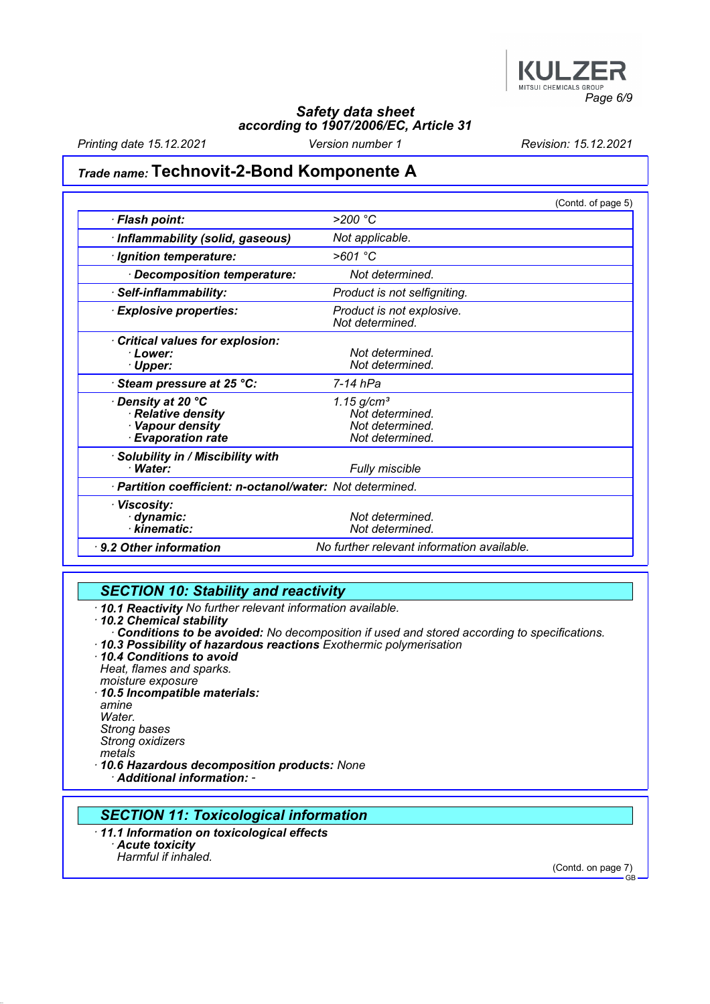

Printing date 15.12.2021 Version number 1 Revision: 15.12.2021

### Trade name: Technovit-2-Bond Komponente A

|                                                                                       |                                                                                   | (Contd. of page 5) |
|---------------------------------------------------------------------------------------|-----------------------------------------------------------------------------------|--------------------|
| · Flash point:                                                                        | $>200$ °C                                                                         |                    |
| · Inflammability (solid, gaseous)                                                     | Not applicable.                                                                   |                    |
| · Ignition temperature:                                                               | >601 °C                                                                           |                    |
| Decomposition temperature:                                                            | Not determined.                                                                   |                    |
| · Self-inflammability:                                                                | Product is not selfigniting.                                                      |                    |
| <b>Explosive properties:</b>                                                          | Product is not explosive.<br>Not determined.                                      |                    |
| Critical values for explosion:<br>· Lower:<br>· Upper:                                | Not determined.<br>Not determined.                                                |                    |
| Steam pressure at 25 °C:                                                              | 7-14 hPa                                                                          |                    |
| Density at 20 °C<br>· Relative density<br>· Vapour density<br><b>Evaporation rate</b> | $1.15$ g/cm <sup>3</sup><br>Not determined.<br>Not determined.<br>Not determined. |                    |
| · Solubility in / Miscibility with<br>· Water:<br><b>Fully miscible</b>               |                                                                                   |                    |
| · Partition coefficient: n-octanol/water: Not determined.                             |                                                                                   |                    |
| · Viscosity:<br>dynamic:<br>$\cdot$ kinematic:                                        | Not determined.<br>Not determined.                                                |                    |
| $\cdot$ 9.2 Other information                                                         | No further relevant information available.                                        |                    |

## SECTION 10: Stability and reactivity

- · 10.1 Reactivity No further relevant information available.
- · 10.2 Chemical stability
- **Conditions to be avoided:** No decomposition if used and stored according to specifications. · 10.3 Possibility of hazardous reactions Exothermic polymerisation
- · 10.4 Conditions to avoid Heat, flames and sparks. moisture exposure · 10.5 Incompatible materials: amine Water. Strong bases Strong oxidizers metals
- · 10.6 Hazardous decomposition products: None · Additional information: -

### SECTION 11: Toxicological information

· 11.1 Information on toxicological effects · Acute toxicity Harmful if inhaled.

(Contd. on page 7) GB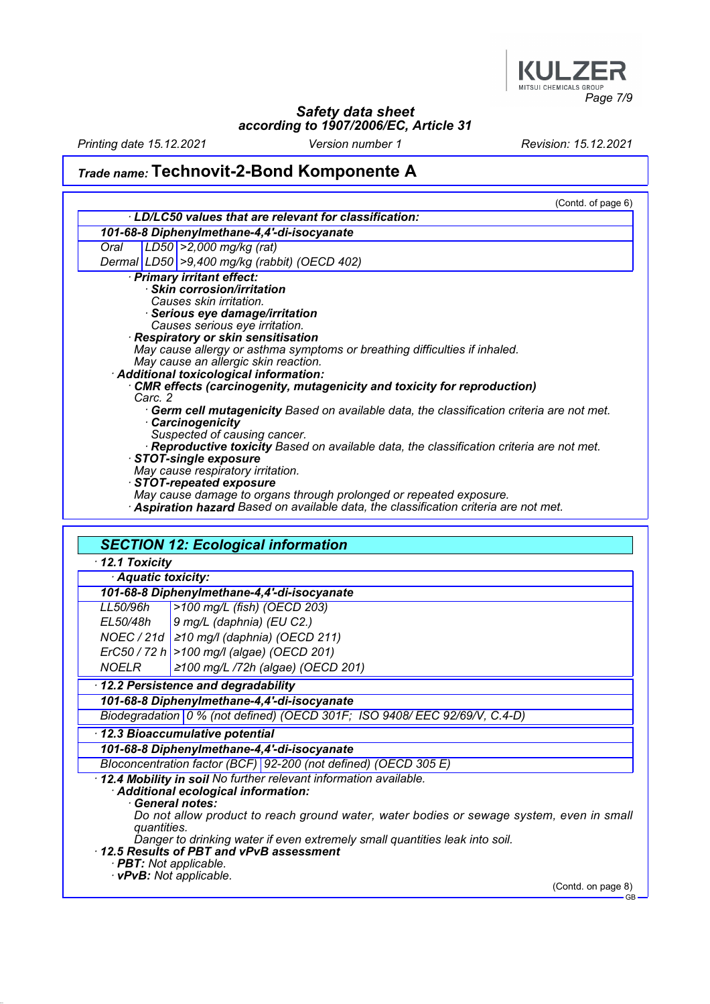

Printing date 15.12.2021 Version number 1 Revision: 15.12.2021

# Trade name: Technovit-2-Bond Komponente A

|                        | (Contd. of page 6)                                                                         |
|------------------------|--------------------------------------------------------------------------------------------|
|                        | · LD/LC50 values that are relevant for classification:                                     |
|                        | 101-68-8 Diphenylmethane-4,4'-di-isocyanate                                                |
| Oral                   | $LD50$ > 2,000 mg/kg (rat)                                                                 |
|                        | Dermal LD50 > 9,400 mg/kg (rabbit) (OECD 402)                                              |
|                        | · Primary irritant effect:                                                                 |
|                        | · Skin corrosion/irritation                                                                |
|                        | Causes skin irritation.                                                                    |
|                        | · Serious eye damage/irritation<br>Causes serious eye irritation.                          |
|                        | Respiratory or skin sensitisation                                                          |
|                        | May cause allergy or asthma symptoms or breathing difficulties if inhaled.                 |
|                        | May cause an allergic skin reaction.                                                       |
|                        | Additional toxicological information:                                                      |
| Carc. 2                | CMR effects (carcinogenity, mutagenicity and toxicity for reproduction)                    |
|                        | · Germ cell mutagenicity Based on available data, the classification criteria are not met. |
|                        | · Carcinogenicity                                                                          |
|                        | Suspected of causing cancer.                                                               |
|                        | Reproductive toxicity Based on available data, the classification criteria are not met.    |
|                        | STOT-single exposure<br>May cause respiratory irritation.                                  |
|                        | STOT-repeated exposure                                                                     |
|                        | May cause damage to organs through prolonged or repeated exposure.                         |
|                        | Aspiration hazard Based on available data, the classification criteria are not met.        |
| $\cdot$ 12.1 Toxicity  | <b>SECTION 12: Ecological information</b>                                                  |
| Aquatic toxicity:      |                                                                                            |
| LL50/96h               | 101-68-8 Diphenylmethane-4,4'-di-isocyanate<br>>100 mg/L (fish) (OECD 203)                 |
|                        |                                                                                            |
| EL50/48h               | 9 mg/L (daphnia) (EU C2.)                                                                  |
|                        | NOEC / 21d $\ge$ 10 mg/l (daphnia) (OECD 211)                                              |
|                        | ErC50 / 72 h > 100 mg/l (algae) (OECD 201)                                                 |
| <b>NOELR</b>           | ≥100 mg/L /72h (algae) (OECD 201)                                                          |
|                        | 12.2 Persistence and degradability                                                         |
|                        | 101-68-8 Diphenylmethane-4,4'-di-isocyanate                                                |
|                        | Biodegradation 0 % (not defined) (OECD 301F; ISO 9408/EEC 92/69/V, C.4-D)                  |
|                        | 12.3 Bioaccumulative potential                                                             |
|                        | 101-68-8 Diphenylmethane-4,4'-di-isocyanate                                                |
|                        | Bloconcentration factor (BCF) 92-200 (not defined) (OECD 305 E)                            |
|                        | · 12.4 Mobility in soil No further relevant information available.                         |
|                        | Additional ecological information:                                                         |
|                        | General notes:                                                                             |
| quantities.            | Do not allow product to reach ground water, water bodies or sewage system, even in small   |
|                        | Danger to drinking water if even extremely small quantities leak into soil.                |
|                        | 12.5 Results of PBT and vPvB assessment                                                    |
| · PBT: Not applicable. |                                                                                            |
|                        | · vPvB: Not applicable.<br>(Contd. on page 8)                                              |
|                        |                                                                                            |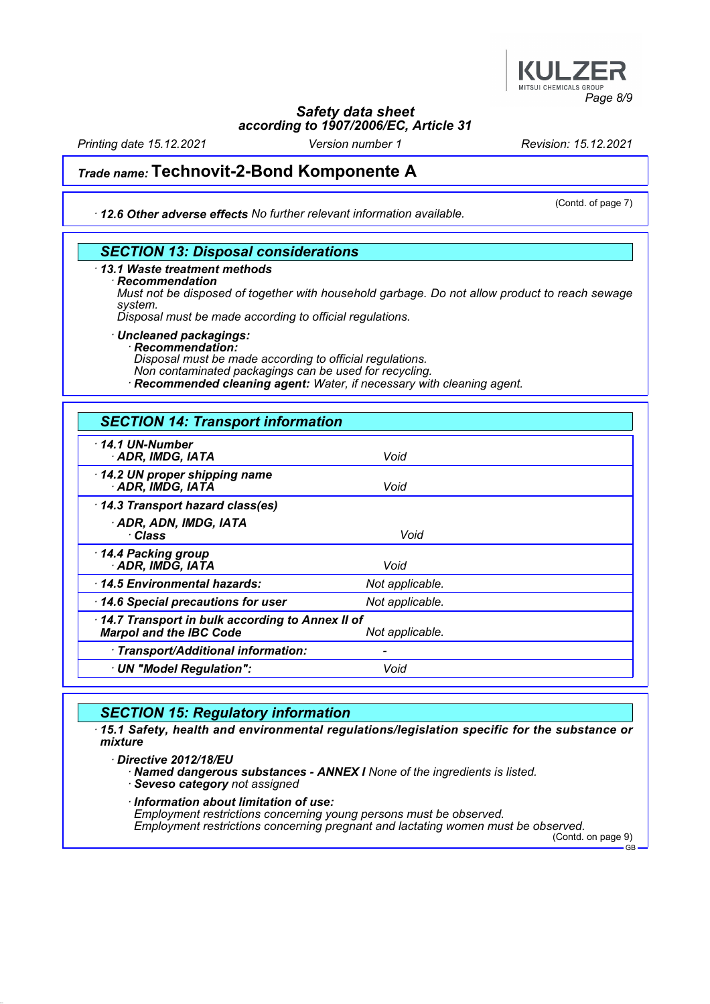

Printing date 15.12.2021 Version number 1 Revision: 15.12.2021

(Contd. of page 7)

### Trade name: Technovit-2-Bond Komponente A

· 12.6 Other adverse effects No further relevant information available.

#### SECTION 13: Disposal considerations

· 13.1 Waste treatment methods

**Recommendation** 

Must not be disposed of together with household garbage. Do not allow product to reach sewage system.

Disposal must be made according to official regulations.

· Uncleaned packagings:

· Recommendation:

Disposal must be made according to official regulations.

- Non contaminated packagings can be used for recycling.
- · Recommended cleaning agent: Water, if necessary with cleaning agent.

| <b>SECTION 14: Transport information</b>                                                             |                 |  |
|------------------------------------------------------------------------------------------------------|-----------------|--|
| 14.1 UN-Number<br>· ADR, IMDG, IATA                                                                  | Void            |  |
| 14.2 UN proper shipping name<br>ADR, IMDG, IATA                                                      | Void            |  |
| 14.3 Transport hazard class(es)                                                                      |                 |  |
| ADR, ADN, IMDG, IATA<br>∙ Class                                                                      | Void            |  |
| 14.4 Packing group<br>· ADR, IMDĞ, IATA                                                              | Void            |  |
| 14.5 Environmental hazards:                                                                          | Not applicable. |  |
| 14.6 Special precautions for user                                                                    | Not applicable. |  |
| 14.7 Transport in bulk according to Annex II of<br><b>Marpol and the IBC Code</b><br>Not applicable. |                 |  |
| · Transport/Additional information:                                                                  |                 |  |
| · UN "Model Regulation":                                                                             | Void            |  |

#### SECTION 15: Regulatory information

· 15.1 Safety, health and environmental regulations/legislation specific for the substance or mixture

#### · Directive 2012/18/EU

· Named dangerous substances - ANNEX I None of the ingredients is listed.

· Seveso category not assigned

· Information about limitation of use: Employment restrictions concerning young persons must be observed. Employment restrictions concerning pregnant and lactating women must be observed.

(Contd. on page 9) GB